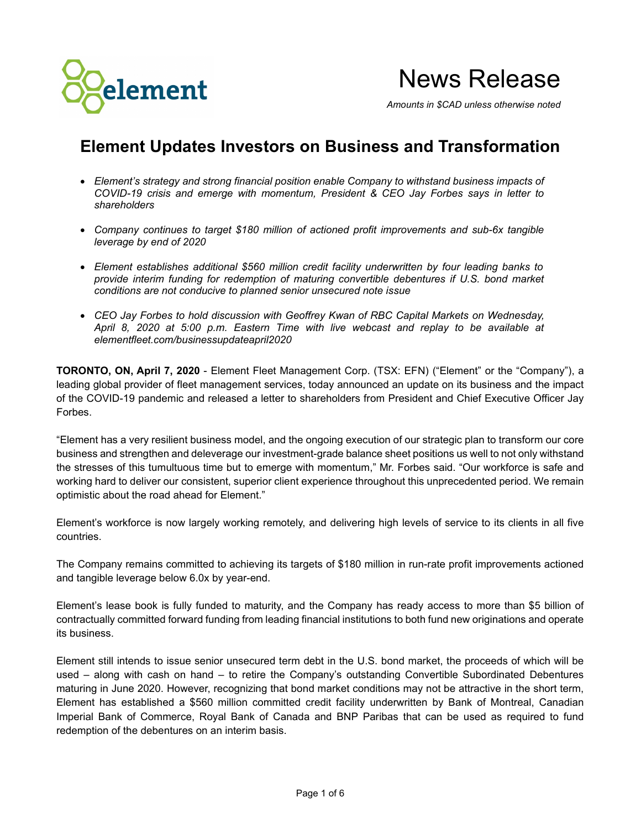

News Release

*Amounts in \$CAD unless otherwise noted*

# **Element Updates Investors on Business and Transformation**

- *Element's strategy and strong financial position enable Company to withstand business impacts of COVID-19 crisis and emerge with momentum, President & CEO Jay Forbes says in letter to shareholders*
- *Company continues to target \$180 million of actioned profit improvements and sub-6x tangible leverage by end of 2020*
- *Element establishes additional \$560 million credit facility underwritten by four leading banks to provide interim funding for redemption of maturing convertible debentures if U.S. bond market conditions are not conducive to planned senior unsecured note issue*
- *CEO Jay Forbes to hold discussion with Geoffrey Kwan of RBC Capital Markets on Wednesday, April 8, 2020 at 5:00 p.m. Eastern Time with live webcast and replay to be available at elementfleet.com/businessupdateapril2020*

**TORONTO, ON, April 7, 2020** - Element Fleet Management Corp. (TSX: EFN) ("Element" or the "Company"), a leading global provider of fleet management services, today announced an update on its business and the impact of the COVID-19 pandemic and released a letter to shareholders from President and Chief Executive Officer Jay Forbes.

"Element has a very resilient business model, and the ongoing execution of our strategic plan to transform our core business and strengthen and deleverage our investment-grade balance sheet positions us well to not only withstand the stresses of this tumultuous time but to emerge with momentum," Mr. Forbes said. "Our workforce is safe and working hard to deliver our consistent, superior client experience throughout this unprecedented period. We remain optimistic about the road ahead for Element."

Element's workforce is now largely working remotely, and delivering high levels of service to its clients in all five countries.

The Company remains committed to achieving its targets of \$180 million in run-rate profit improvements actioned and tangible leverage below 6.0x by year-end.

Element's lease book is fully funded to maturity, and the Company has ready access to more than \$5 billion of contractually committed forward funding from leading financial institutions to both fund new originations and operate its business.

Element still intends to issue senior unsecured term debt in the U.S. bond market, the proceeds of which will be used – along with cash on hand – to retire the Company's outstanding Convertible Subordinated Debentures maturing in June 2020. However, recognizing that bond market conditions may not be attractive in the short term, Element has established a \$560 million committed credit facility underwritten by Bank of Montreal, Canadian Imperial Bank of Commerce, Royal Bank of Canada and BNP Paribas that can be used as required to fund redemption of the debentures on an interim basis.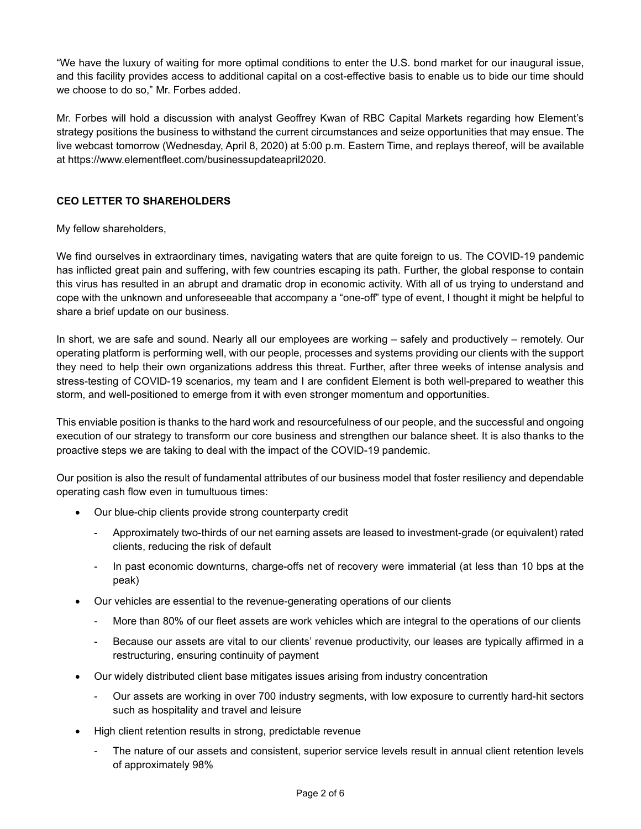"We have the luxury of waiting for more optimal conditions to enter the U.S. bond market for our inaugural issue, and this facility provides access to additional capital on a cost-effective basis to enable us to bide our time should we choose to do so," Mr. Forbes added.

Mr. Forbes will hold a discussion with analyst Geoffrey Kwan of RBC Capital Markets regarding how Element's strategy positions the business to withstand the current circumstances and seize opportunities that may ensue. The live webcast tomorrow (Wednesday, April 8, 2020) at 5:00 p.m. Eastern Time, and replays thereof, will be available at https://www.elementfleet.com/businessupdateapril2020.

## **CEO LETTER TO SHAREHOLDERS**

## My fellow shareholders,

We find ourselves in extraordinary times, navigating waters that are quite foreign to us. The COVID-19 pandemic has inflicted great pain and suffering, with few countries escaping its path. Further, the global response to contain this virus has resulted in an abrupt and dramatic drop in economic activity. With all of us trying to understand and cope with the unknown and unforeseeable that accompany a "one-off" type of event, I thought it might be helpful to share a brief update on our business.

In short, we are safe and sound. Nearly all our employees are working – safely and productively – remotely. Our operating platform is performing well, with our people, processes and systems providing our clients with the support they need to help their own organizations address this threat. Further, after three weeks of intense analysis and stress-testing of COVID-19 scenarios, my team and I are confident Element is both well-prepared to weather this storm, and well-positioned to emerge from it with even stronger momentum and opportunities.

This enviable position is thanks to the hard work and resourcefulness of our people, and the successful and ongoing execution of our strategy to transform our core business and strengthen our balance sheet. It is also thanks to the proactive steps we are taking to deal with the impact of the COVID-19 pandemic.

Our position is also the result of fundamental attributes of our business model that foster resiliency and dependable operating cash flow even in tumultuous times:

- Our blue-chip clients provide strong counterparty credit
	- Approximately two-thirds of our net earning assets are leased to investment-grade (or equivalent) rated clients, reducing the risk of default
	- In past economic downturns, charge-offs net of recovery were immaterial (at less than 10 bps at the peak)
- Our vehicles are essential to the revenue-generating operations of our clients
	- More than 80% of our fleet assets are work vehicles which are integral to the operations of our clients
	- Because our assets are vital to our clients' revenue productivity, our leases are typically affirmed in a restructuring, ensuring continuity of payment
- Our widely distributed client base mitigates issues arising from industry concentration
	- Our assets are working in over 700 industry segments, with low exposure to currently hard-hit sectors such as hospitality and travel and leisure
- High client retention results in strong, predictable revenue
	- The nature of our assets and consistent, superior service levels result in annual client retention levels of approximately 98%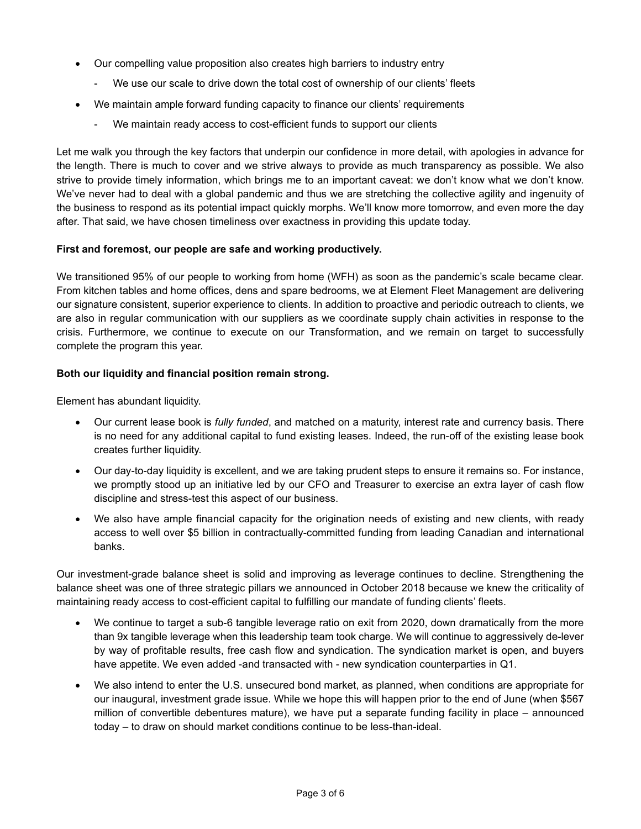- Our compelling value proposition also creates high barriers to industry entry
	- We use our scale to drive down the total cost of ownership of our clients' fleets
- We maintain ample forward funding capacity to finance our clients' requirements
	- We maintain ready access to cost-efficient funds to support our clients

Let me walk you through the key factors that underpin our confidence in more detail, with apologies in advance for the length. There is much to cover and we strive always to provide as much transparency as possible. We also strive to provide timely information, which brings me to an important caveat: we don't know what we don't know. We've never had to deal with a global pandemic and thus we are stretching the collective agility and ingenuity of the business to respond as its potential impact quickly morphs. We'll know more tomorrow, and even more the day after. That said, we have chosen timeliness over exactness in providing this update today.

## **First and foremost, our people are safe and working productively.**

We transitioned 95% of our people to working from home (WFH) as soon as the pandemic's scale became clear. From kitchen tables and home offices, dens and spare bedrooms, we at Element Fleet Management are delivering our signature consistent, superior experience to clients. In addition to proactive and periodic outreach to clients, we are also in regular communication with our suppliers as we coordinate supply chain activities in response to the crisis. Furthermore, we continue to execute on our Transformation, and we remain on target to successfully complete the program this year.

## **Both our liquidity and financial position remain strong.**

Element has abundant liquidity.

- Our current lease book is *fully funded*, and matched on a maturity, interest rate and currency basis. There is no need for any additional capital to fund existing leases. Indeed, the run-off of the existing lease book creates further liquidity.
- Our day-to-day liquidity is excellent, and we are taking prudent steps to ensure it remains so. For instance, we promptly stood up an initiative led by our CFO and Treasurer to exercise an extra layer of cash flow discipline and stress-test this aspect of our business.
- We also have ample financial capacity for the origination needs of existing and new clients, with ready access to well over \$5 billion in contractually-committed funding from leading Canadian and international banks.

Our investment-grade balance sheet is solid and improving as leverage continues to decline. Strengthening the balance sheet was one of three strategic pillars we announced in October 2018 because we knew the criticality of maintaining ready access to cost-efficient capital to fulfilling our mandate of funding clients' fleets.

- We continue to target a sub-6 tangible leverage ratio on exit from 2020, down dramatically from the more than 9x tangible leverage when this leadership team took charge. We will continue to aggressively de-lever by way of profitable results, free cash flow and syndication. The syndication market is open, and buyers have appetite. We even added -and transacted with - new syndication counterparties in Q1.
- We also intend to enter the U.S. unsecured bond market, as planned, when conditions are appropriate for our inaugural, investment grade issue. While we hope this will happen prior to the end of June (when \$567 million of convertible debentures mature), we have put a separate funding facility in place – announced today – to draw on should market conditions continue to be less-than-ideal.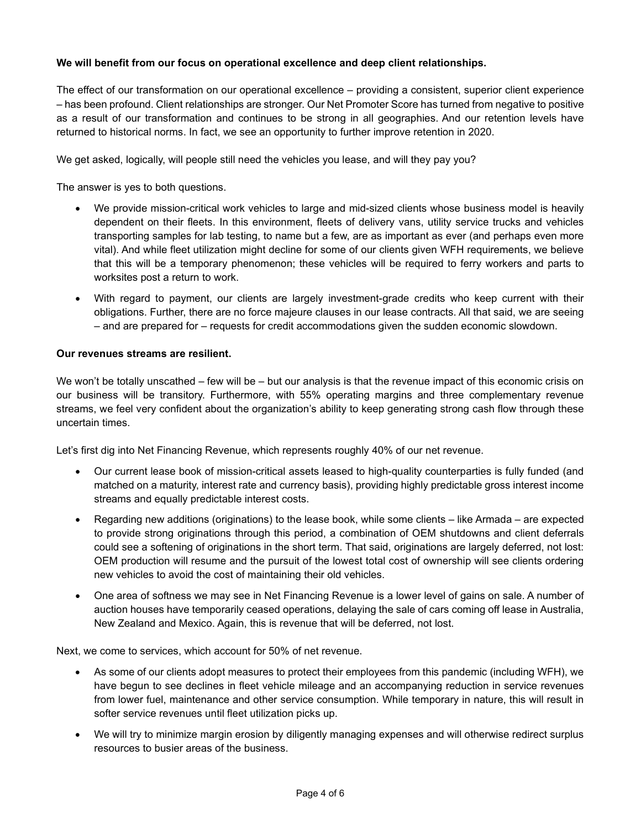## **We will benefit from our focus on operational excellence and deep client relationships.**

The effect of our transformation on our operational excellence – providing a consistent, superior client experience – has been profound. Client relationships are stronger. Our Net Promoter Score has turned from negative to positive as a result of our transformation and continues to be strong in all geographies. And our retention levels have returned to historical norms. In fact, we see an opportunity to further improve retention in 2020.

We get asked, logically, will people still need the vehicles you lease, and will they pay you?

The answer is yes to both questions.

- We provide mission-critical work vehicles to large and mid-sized clients whose business model is heavily dependent on their fleets. In this environment, fleets of delivery vans, utility service trucks and vehicles transporting samples for lab testing, to name but a few, are as important as ever (and perhaps even more vital). And while fleet utilization might decline for some of our clients given WFH requirements, we believe that this will be a temporary phenomenon; these vehicles will be required to ferry workers and parts to worksites post a return to work.
- With regard to payment, our clients are largely investment-grade credits who keep current with their obligations. Further, there are no force majeure clauses in our lease contracts. All that said, we are seeing – and are prepared for – requests for credit accommodations given the sudden economic slowdown.

#### **Our revenues streams are resilient.**

We won't be totally unscathed – few will be – but our analysis is that the revenue impact of this economic crisis on our business will be transitory. Furthermore, with 55% operating margins and three complementary revenue streams, we feel very confident about the organization's ability to keep generating strong cash flow through these uncertain times.

Let's first dig into Net Financing Revenue, which represents roughly 40% of our net revenue.

- Our current lease book of mission-critical assets leased to high-quality counterparties is fully funded (and matched on a maturity, interest rate and currency basis), providing highly predictable gross interest income streams and equally predictable interest costs.
- Regarding new additions (originations) to the lease book, while some clients like Armada are expected to provide strong originations through this period, a combination of OEM shutdowns and client deferrals could see a softening of originations in the short term. That said, originations are largely deferred, not lost: OEM production will resume and the pursuit of the lowest total cost of ownership will see clients ordering new vehicles to avoid the cost of maintaining their old vehicles.
- One area of softness we may see in Net Financing Revenue is a lower level of gains on sale. A number of auction houses have temporarily ceased operations, delaying the sale of cars coming off lease in Australia, New Zealand and Mexico. Again, this is revenue that will be deferred, not lost.

Next, we come to services, which account for 50% of net revenue.

- As some of our clients adopt measures to protect their employees from this pandemic (including WFH), we have begun to see declines in fleet vehicle mileage and an accompanying reduction in service revenues from lower fuel, maintenance and other service consumption. While temporary in nature, this will result in softer service revenues until fleet utilization picks up.
- We will try to minimize margin erosion by diligently managing expenses and will otherwise redirect surplus resources to busier areas of the business.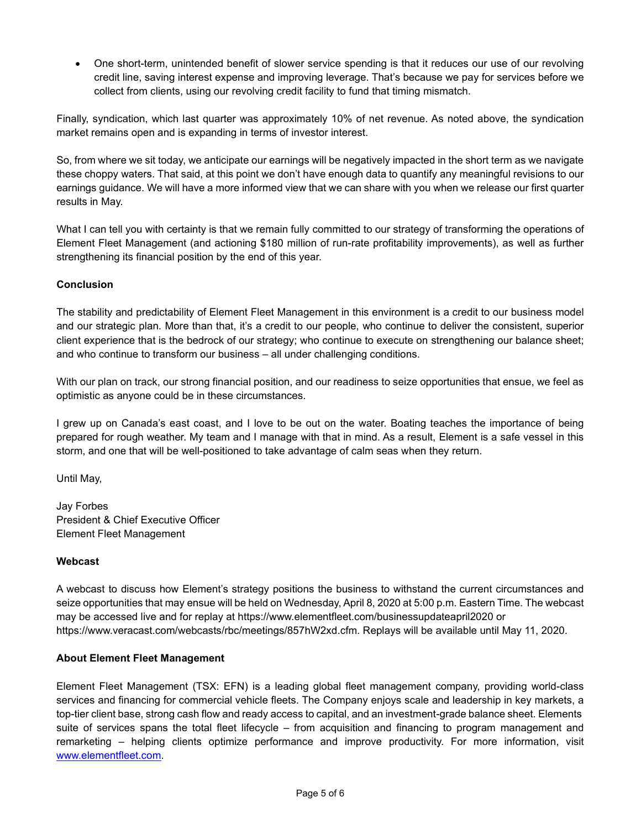• One short-term, unintended benefit of slower service spending is that it reduces our use of our revolving credit line, saving interest expense and improving leverage. That's because we pay for services before we collect from clients, using our revolving credit facility to fund that timing mismatch.

Finally, syndication, which last quarter was approximately 10% of net revenue. As noted above, the syndication market remains open and is expanding in terms of investor interest.

So, from where we sit today, we anticipate our earnings will be negatively impacted in the short term as we navigate these choppy waters. That said, at this point we don't have enough data to quantify any meaningful revisions to our earnings guidance. We will have a more informed view that we can share with you when we release our first quarter results in May.

What I can tell you with certainty is that we remain fully committed to our strategy of transforming the operations of Element Fleet Management (and actioning \$180 million of run-rate profitability improvements), as well as further strengthening its financial position by the end of this year.

## **Conclusion**

The stability and predictability of Element Fleet Management in this environment is a credit to our business model and our strategic plan. More than that, it's a credit to our people, who continue to deliver the consistent, superior client experience that is the bedrock of our strategy; who continue to execute on strengthening our balance sheet; and who continue to transform our business – all under challenging conditions.

With our plan on track, our strong financial position, and our readiness to seize opportunities that ensue, we feel as optimistic as anyone could be in these circumstances.

I grew up on Canada's east coast, and I love to be out on the water. Boating teaches the importance of being prepared for rough weather. My team and I manage with that in mind. As a result, Element is a safe vessel in this storm, and one that will be well-positioned to take advantage of calm seas when they return.

Until May,

Jay Forbes President & Chief Executive Officer Element Fleet Management

## **Webcast**

A webcast to discuss how Element's strategy positions the business to withstand the current circumstances and seize opportunities that may ensue will be held on Wednesday, April 8, 2020 at 5:00 p.m. Eastern Time. The webcast may be accessed live and for replay at https://www.elementfleet.com/businessupdateapril2020 or https://www.veracast.com/webcasts/rbc/meetings/857hW2xd.cfm. Replays will be available until May 11, 2020.

## **About Element Fleet Management**

Element Fleet Management (TSX: EFN) is a leading global fleet management company, providing world-class services and financing for commercial vehicle fleets. The Company enjoys scale and leadership in key markets, a top-tier client base, strong cash flow and ready access to capital, and an investment-grade balance sheet. Elements suite of services spans the total fleet lifecycle – from acquisition and financing to program management and remarketing – helping clients optimize performance and improve productivity. For more information, visit [www.elementfleet.com.](http://www.elementfleet.com/)